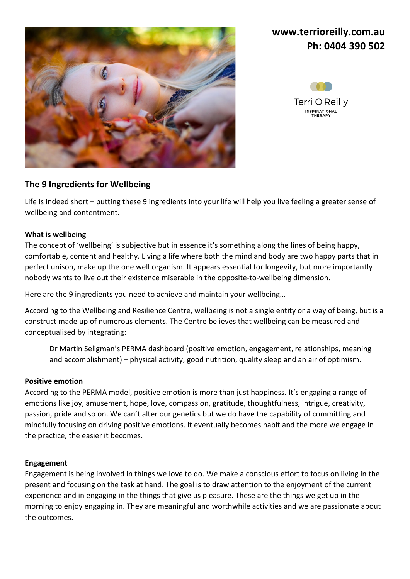

# **[www.terrioreilly.com.au](http://www.terrioreilly.com.au/) Ph: 0404 390 502**



## **The 9 Ingredients for Wellbeing**

Life is indeed short – putting these 9 ingredients into your life will help you live feeling a greater sense of wellbeing and contentment.

### **What is wellbeing**

The concept of 'wellbeing' is subjective but in essence it's something along the lines of being happy, comfortable, content and healthy. Living a life where both the mind and body are two happy parts that in perfect unison, make up the one well organism. It appears essential for longevity, but more importantly nobody wants to live out their existence miserable in the opposite-to-wellbeing dimension.

Here are the 9 ingredients you need to achieve and maintain your wellbeing…

According to the Wellbeing and Resilience Centre, [wellbeing](https://www.wellbeingandresilience.com/building-wellbeing) is not a single entity or a way of being, but is a construct made up of numerous elements. The Centre believes that wellbeing can be measured and conceptualised by integrating:

Dr Martin Seligman's [PERMA](https://www.wellbeingandresilience.com/perma-plus) dashboard (positive emotion, engagement, relationships, meaning and accomplishment) + physical activity, good nutrition, quality sleep and an air of optimism.

### **Positive emotion**

According to the PERMA model, positive emotion is more than just happiness. It's engaging a range of emotions like joy, amusement, hope, love, compassion, gratitude, thoughtfulness, intrigue, creativity, passion, pride and so on. We can't alter our genetics but we do have the capability of committing and mindfully focusing on driving positive emotions. It eventually becomes habit and the more we engage in the practice, the easier it becomes.

### **Engagement**

Engagement is being involved in things we love to do. We make a conscious effort to focus on living in the present and focusing on the task at hand. The goal is to draw attention to the enjoyment of the current experience and in engaging in the things that give us pleasure. These are the things we get up in the morning to enjoy engaging in. They are meaningful and worthwhile activities and we are passionate about the outcomes.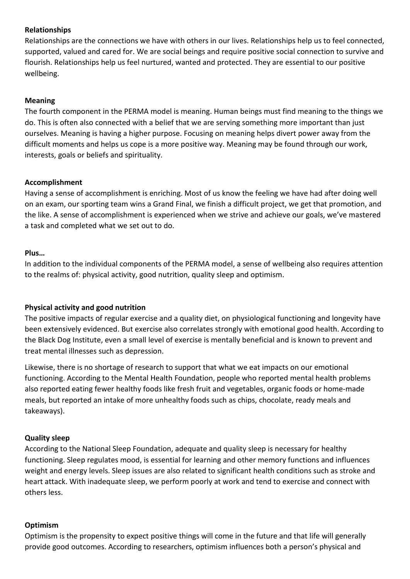### **Relationships**

Relationships are the connections we have with others in our lives. Relationships help us to feel connected, supported, valued and cared for. We are social beings and require positive social connection to survive and flourish. Relationships help us feel nurtured, wanted and protected. They are essential to our positive wellbeing.

### **Meaning**

The fourth component in the PERMA model is meaning. Human beings must find meaning to the things we do. This is often also connected with a belief that we are serving something more important than just ourselves. Meaning is having a higher purpose. Focusing on meaning helps divert power away from the difficult moments and helps us cope is a more positive way. Meaning may be found through our work, interests, goals or beliefs and spirituality.

### **Accomplishment**

Having a sense of accomplishment is enriching. Most of us know the feeling we have had after doing well on an exam, our sporting team wins a Grand Final, we finish a difficult project, we get that promotion, and the like. A sense of accomplishment is experienced when we strive and achieve our goals, we've mastered a task and completed what we set out to do.

#### **Plus…**

In addition to the individual components of the PERMA model, a sense of wellbeing also requires attention to the realms of: physical activity, good nutrition, quality sleep and optimism.

### **Physical activity and good nutrition**

The positive impacts of regular exercise and a quality diet, on physiological functioning and longevity have been extensively evidenced. But exercise also correlates strongly with emotional good health. According to the [Black Dog Institute,](https://www.blackdoginstitute.org.au/get-involved/exercise-your-mood) even a small level of exercise is mentally beneficial and is known to prevent and treat mental illnesses such as depression.

Likewise, there is no shortage of research to support that what we eat impacts on our emotional functioning. According to the [Mental Health Foundation,](https://www.mentalhealth.org.uk/a-to-z/d/diet-and-mental-health) people who reported mental health problems also reported eating fewer healthy foods like fresh fruit and vegetables, organic foods or home-made meals, but reported an intake of more unhealthy foods such as chips, chocolate, ready meals and takeaways).

### **Quality sleep**

According to the [National Sleep Foundation,](https://sleepfoundation.org/sleep-topics/diet-exercise-and-sleep) adequate and quality sleep is necessary for healthy functioning. Sleep regulates mood, is essential for learning and other memory functions and influences weight and energy levels. Sleep issues are also related to significant health conditions such as stroke and heart attack. With inadequate sleep, we perform poorly at work and tend to exercise and connect with others less.

#### **Optimism**

Optimism is the propensity to expect positive things will come in the future and that life will generally provide good outcomes. According t[o researchers,](http://citeseerx.ist.psu.edu/viewdoc/download?doi=10.1.1.354.7018&rep=rep1&type=pdf) optimism influences both a person's physical and